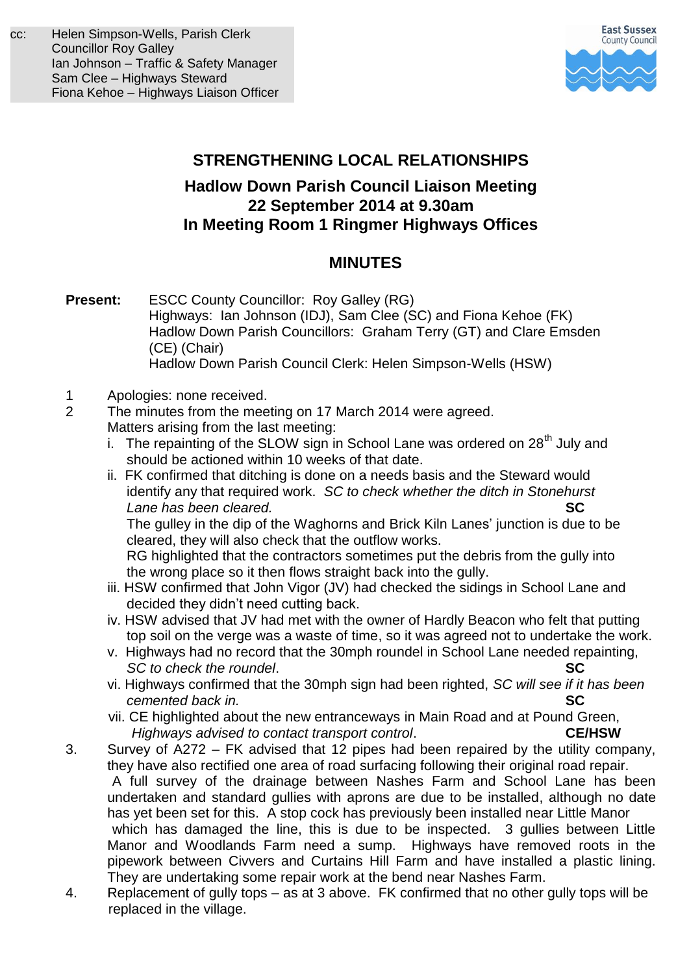

## **STRENGTHENING LOCAL RELATIONSHIPS**

## **Hadlow Down Parish Council Liaison Meeting 22 September 2014 at 9.30am In Meeting Room 1 Ringmer Highways Offices**

## **MINUTES**

- **Present:** ESCC County Councillor: Roy Galley (RG) Highways:Ian Johnson (IDJ), Sam Clee (SC) and Fiona Kehoe (FK) Hadlow Down Parish Councillors: Graham Terry (GT) and Clare Emsden (CE) (Chair) Hadlow Down Parish Council Clerk: Helen Simpson-Wells (HSW)
- 1 Apologies: none received.<br>2 The minutes from the mee
- The minutes from the meeting on 17 March 2014 were agreed. Matters arising from the last meeting:
	- i. The repainting of the SLOW sign in School Lane was ordered on  $28<sup>th</sup>$  July and should be actioned within 10 weeks of that date.
	- ii. FK confirmed that ditching is done on a needs basis and the Steward would identify any that required work. *SC to check whether the ditch in Stonehurst Lane has been cleared.* **SC**

The gulley in the dip of the Waghorns and Brick Kiln Lanes' junction is due to be cleared, they will also check that the outflow works.

 RG highlighted that the contractors sometimes put the debris from the gully into the wrong place so it then flows straight back into the gully.

- iii. HSW confirmed that John Vigor (JV) had checked the sidings in School Lane and decided they didn't need cutting back.
- iv. HSW advised that JV had met with the owner of Hardly Beacon who felt that putting top soil on the verge was a waste of time, so it was agreed not to undertake the work.
- v. Highways had no record that the 30mph roundel in School Lane needed repainting, *SC to check the roundel*. **SC**
- vi. Highways confirmed that the 30mph sign had been righted, *SC will see if it has been cemented back in.* **SC**
- vii. CE highlighted about the new entranceways in Main Road and at Pound Green, *Highways advised to contact transport control*. **CE/HSW**
- 3. Survey of A272 FK advised that 12 pipes had been repaired by the utility company, they have also rectified one area of road surfacing following their original road repair. A full survey of the drainage between Nashes Farm and School Lane has been undertaken and standard gullies with aprons are due to be installed, although no date has yet been set for this. A stop cock has previously been installed near Little Manor which has damaged the line, this is due to be inspected. 3 gullies between Little Manor and Woodlands Farm need a sump. Highways have removed roots in the pipework between Civvers and Curtains Hill Farm and have installed a plastic lining. They are undertaking some repair work at the bend near Nashes Farm.
- 4. Replacement of gully tops as at 3 above. FK confirmed that no other gully tops will be replaced in the village.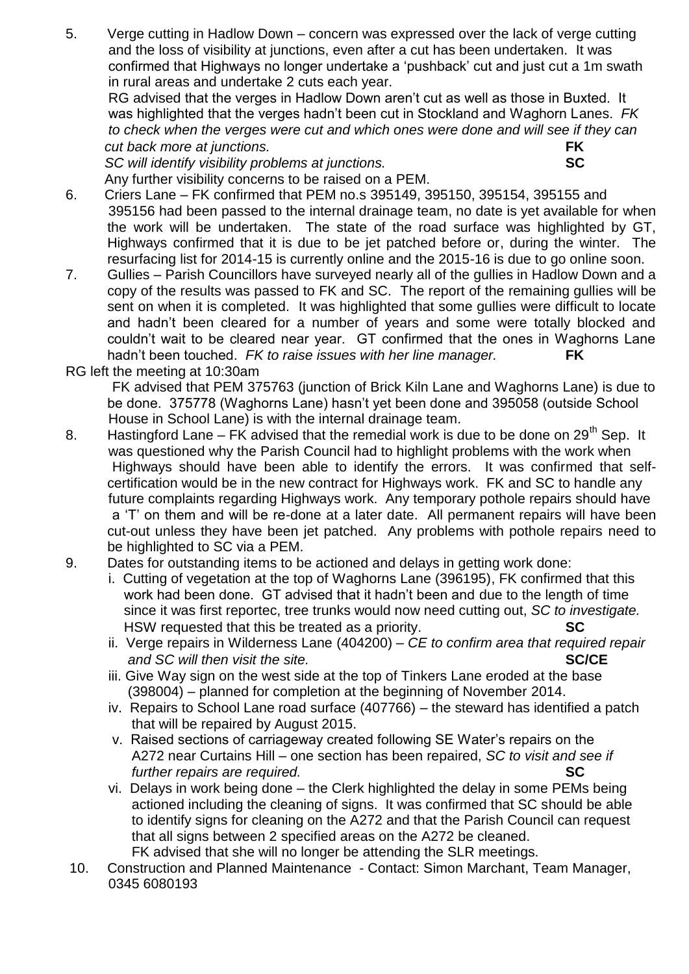5. Verge cutting in Hadlow Down – concern was expressed over the lack of verge cutting and the loss of visibility at junctions, even after a cut has been undertaken. It was confirmed that Highways no longer undertake a 'pushback' cut and just cut a 1m swath in rural areas and undertake 2 cuts each year.

 RG advised that the verges in Hadlow Down aren't cut as well as those in Buxted. It was highlighted that the verges hadn't been cut in Stockland and Waghorn Lanes. *FK to check when the verges were cut and which ones were done and will see if they can cut back more at junctions.* 

*SC will identify visibility problems at junctions.* **SC**

Any further visibility concerns to be raised on a PEM.

- 6. Criers Lane FK confirmed that PEM no.s 395149, 395150, 395154, 395155 and 395156 had been passed to the internal drainage team, no date is yet available for when the work will be undertaken. The state of the road surface was highlighted by GT, Highways confirmed that it is due to be jet patched before or, during the winter. The resurfacing list for 2014-15 is currently online and the 2015-16 is due to go online soon.
- 7. Gullies Parish Councillors have surveyed nearly all of the gullies in Hadlow Down and a copy of the results was passed to FK and SC. The report of the remaining gullies will be sent on when it is completed. It was highlighted that some gullies were difficult to locate and hadn't been cleared for a number of years and some were totally blocked and couldn't wait to be cleared near year. GT confirmed that the ones in Waghorns Lane hadn't been touched. *FK to raise issues with her line manager.* **FK**
- RG left the meeting at 10:30am

 FK advised that PEM 375763 (junction of Brick Kiln Lane and Waghorns Lane) is due to be done. 375778 (Waghorns Lane) hasn't yet been done and 395058 (outside School House in School Lane) is with the internal drainage team.

- 8. Hastingford Lane FK advised that the remedial work is due to be done on  $29<sup>th</sup>$  Sep. It was questioned why the Parish Council had to highlight problems with the work when Highways should have been able to identify the errors. It was confirmed that selfcertification would be in the new contract for Highways work. FK and SC to handle any future complaints regarding Highways work. Any temporary pothole repairs should have a 'T' on them and will be re-done at a later date. All permanent repairs will have been cut-out unless they have been jet patched. Any problems with pothole repairs need to be highlighted to SC via a PEM.
- 9. Dates for outstanding items to be actioned and delays in getting work done:
	- i. Cutting of vegetation at the top of Waghorns Lane (396195), FK confirmed that this work had been done. GT advised that it hadn't been and due to the length of time since it was first reportec, tree trunks would now need cutting out, *SC to investigate.* HSW requested that this be treated as a priority. **SC**
	- ii. Verge repairs in Wilderness Lane (404200) *CE to confirm area that required repair and SC will then visit the site.* **<b>SC/CE SC/CE**
	- iii. Give Way sign on the west side at the top of Tinkers Lane eroded at the base (398004) – planned for completion at the beginning of November 2014.
	- iv. Repairs to School Lane road surface (407766) the steward has identified a patch that will be repaired by August 2015.
	- v. Raised sections of carriageway created following SE Water's repairs on the A272 near Curtains Hill – one section has been repaired, *SC to visit and see if further repairs are required.* **SC**
	- vi. Delays in work being done the Clerk highlighted the delay in some PEMs being actioned including the cleaning of signs. It was confirmed that SC should be able to identify signs for cleaning on the A272 and that the Parish Council can request that all signs between 2 specified areas on the A272 be cleaned. FK advised that she will no longer be attending the SLR meetings.
- 10. Construction and Planned Maintenance Contact: Simon Marchant, Team Manager, 0345 6080193